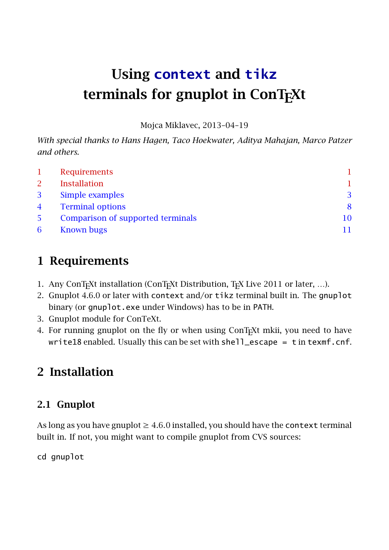# Using **context** and **tikz** terminals for gnuplot in ConTFXt

Mojca Miklavec, 2013–04–19

*With special thanks to Hans Hagen, Taco Hoekwater, Aditya Mahajan, Marco Patzer and others.*

|                | <b>Requirements</b>               |  |
|----------------|-----------------------------------|--|
| 2              | <b>Installation</b>               |  |
| 3              | Simple examples                   |  |
| $\overline{4}$ | <b>Terminal options</b>           |  |
| 5              | Comparison of supported terminals |  |
| 6              | <b>Known bugs</b>                 |  |

# 1 Requirements

- 1. Any ConT<sub>E</sub>Xt installation (ConT<sub>E</sub>Xt Distribution, T<sub>E</sub>X Live 2011 or later, ...).
- 2. Gnuplot 4.6.0 or later with context and/or tikz terminal built in. The gnuplot binary (or gnuplot.exe under Windows) has to be in PATH.
- 3. Gnuplot module for ConTeXt.
- 4. For running gnuplot on the fly or when using ConT<sub>E</sub>Xt mkii, you need to have write18 enabled. Usually this can be set with shell\_escape = t in texmf.cnf.

# 2 Installation

### 2.1 Gnuplot

As long as you have gnuplot  $\geq 4.6.0$  installed, you should have the context terminal built in. If not, you might want to compile gnuplot from CVS sources:

cd gnuplot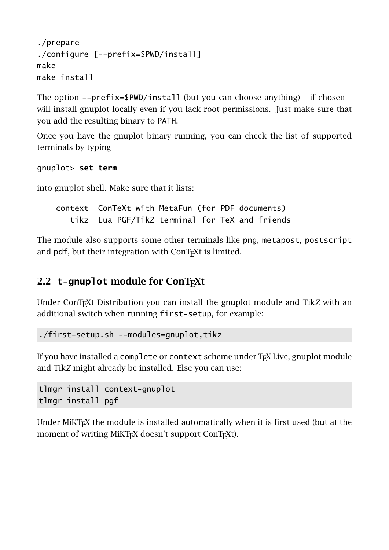```
./prepare
./configure [--prefix=$PWD/install]
make
make install
```
The option --prefix=\$PWD/install (but you can choose anything) – if chosen – will install gnuplot locally even if you lack root permissions. Just make sure that you add the resulting binary to PATH.

Once you have the gnuplot binary running, you can check the list of supported terminals by typing

gnuplot> **set term**

into gnuplot shell. Make sure that it lists:

context ConTeXt with MetaFun (for PDF documents) tikz Lua PGF/TikZ terminal for TeX and friends

The module also supports some other terminals like png, metapost, postscript and pdf, but their integration with ConT<sub>E</sub>Xt is limited.

#### 2.2 **t-gnuplot** module for ConT<sub>E</sub>Xt

Under ConT<sub>E</sub>Xt Distribution you can install the gnuplot module and Tik*Z* with an additional switch when running first-setup, for example:

./first-setup.sh --modules=gnuplot,tikz

If you have installed a complete or context scheme under T<sub>F</sub>X Live, gnuplot module and Tik*Z* might already be installed. Else you can use:

tlmgr install context-gnuplot tlmgr install pgf

Under MiKT<sub>E</sub>X the module is installed automatically when it is first used (but at the moment of writing MiKT<sub>E</sub>X doesn't support ConT<sub>E</sub>Xt).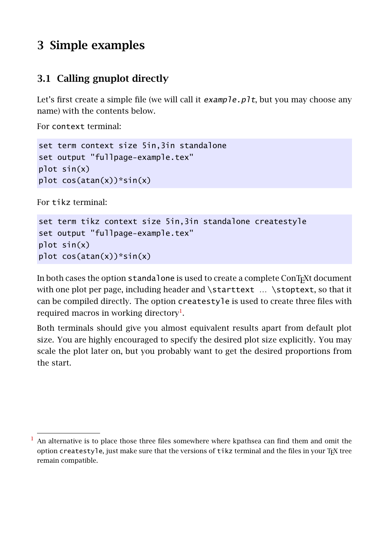# <span id="page-2-0"></span>3 Simple examples

### 3.1 Calling gnuplot directly

Let's first create a simple file (we will call it  $example.pdf$ , but you may choose any name) with the contents below.

For context terminal:

```
set term context size 5in,3in standalone
set output "fullpage-example.tex"
plot sin(x)
plot cos(atan(x))*sin(x)
```
For tikz terminal:

```
set term tikz context size 5in,3in standalone createstyle
set output "fullpage-example.tex"
plot sin(x)
plot cos(atan(x))*sin(x)
```
In both cases the option standalone is used to create a complete ConTEXt document with one plot per page, including header and \starttext ... \stoptext, so that it can be compiled directly. The option createstyle is used to create three files with required macros in working directory<sup>1</sup>.

Both terminals should give you almost equivalent results apart from default plot size. You are highly encouraged to specify the desired plot size explicitly. You may scale the plot later on, but you probably want to get the desired proportions from the start.

<sup>1</sup> An alternative is to place those three files somewhere where kpathsea can find them and omit the option createstyle, just make sure that the versions of tikz terminal and the files in your T<sub>F</sub>X tree remain compatible.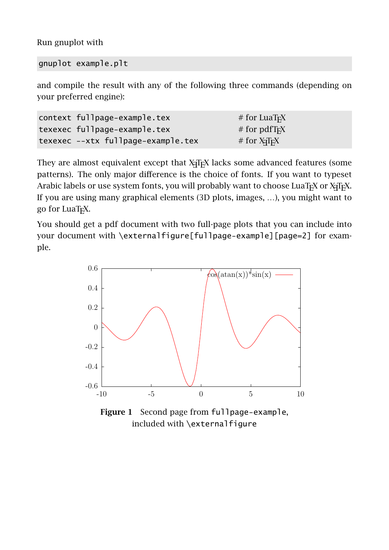Run gnuplot with

gnuplot example.plt

and compile the result with any of the following three commands (depending on your preferred engine):

| context fullpage-example.tex       | $#$ for LuaT <sub>F</sub> X |
|------------------------------------|-----------------------------|
| texexec fullpage-example.tex       | # for $pdfTrX$              |
| texexec --xtx fullpage-example.tex | $#$ for $X\overline{q}FX$   |

They are almost equivalent except that X $\frac{1}{4}$ TEX lacks some advanced features (some patterns). The only major difference is the choice of fonts. If you want to typeset Arabic labels or use system fonts, you will probably want to choose LuaTEX or XHEX. If you are using many graphical elements (3D plots, images, …), you might want to go for LuaT<sub>F</sub>X.

You should get a pdf document with two full-page plots that you can include into your document with \externalfigure[fullpage-example][page=2] for example.



Figure 1 Second page from fullpage-example, included with \externalfigure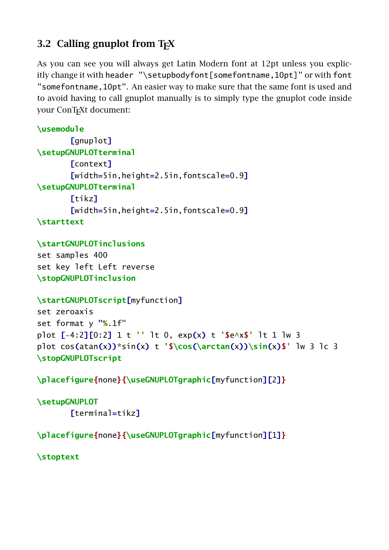### 3.2 Calling gnuplot from T<sub>F</sub>X

As you can see you will always get Latin Modern font at 12pt unless you explicitly change it with header "\setupbodyfont[somefontname,10pt]" or with font "somefontname,10pt". An easier way to make sure that the same font is used and to avoid having to call gnuplot manually is to simply type the gnuplot code inside your ConT<sub>E</sub>Xt document:

```
\usemodule
       [gnuplot]
\setupGNUPLOTterminal
       [context]
       [width=5in,height=2.5in,fontscale=0.9]
\setupGNUPLOTterminal
       [tikz]
       [width=5in,height=2.5in,fontscale=0.9]
\starttext
```

```
\startGNUPLOTinclusions
```
set samples 400 set key left Left reverse **\stopGNUPLOTinclusion**

```
\startGNUPLOTscript[myfunction]
```

```
set zeroaxis
set format y "%.1f"
plot [-4:2][0:2] 1 t '' lt 0, exp(x) t '$e^x$' lt 1 lw 3
plot cos(atan(x))*sin(x) t '$\cos(\arctan(x))\sin(x)$' lw 3 lc 3
\stopGNUPLOTscript
```
**\placefigure{**none**}{\useGNUPLOTgraphic[**myfunction**][**2**]}**

```
\setupGNUPLOT
       [terminal=tikz]
```
**\placefigure{**none**}{\useGNUPLOTgraphic[**myfunction**][**1**]}**

**\stoptext**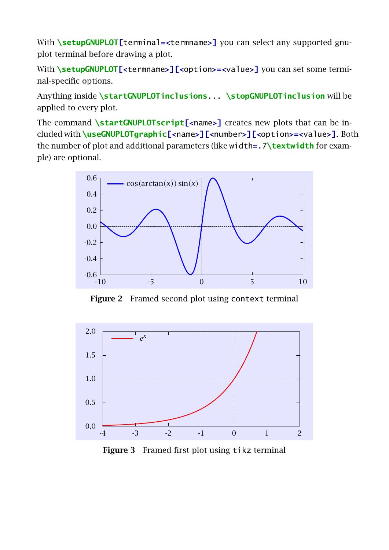With **\setupGNUPLOT[**terminal**=<**termname**>]** you can select any supported gnuplot terminal before drawing a plot.

With **\setupGNUPLOT[<termname>][<option>=<value>]** you can set some terminal-specific options.

Anything inside **\startGNUPLOTinclusions**... **\stopGNUPLOTinclusion** will be applied to every plot.

The command **\startGNUPLOTscript[<**name**>]** creates new plots that can be included with **\useGNUPLOTgraphic[<**name**>][<**number**>][<**option**>=<**value**>]**. Both the number of plot and additional parameters (like width**=**.7**\textwidth** for example) are optional.



Figure 2 Framed second plot using context terminal



Figure 3 Framed first plot using tikz terminal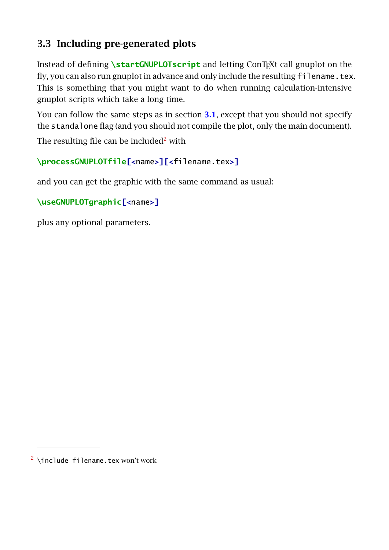### 3.3 Including pre-generated plots

Instead of defining **\startGNUPLOTscript** and letting ConT<sub>E</sub>Xt call gnuplot on the fly, you can also run gnuplot in advance and only include the resulting filename.tex. This is something that you might want to do when running calculation-intensive gnuplot scripts which take a long time.

You can follow the same steps as in section [3.1](#page-2-0), except that you should not specify the standalone flag (and you should not compile the plot, only the main document).

The resulting file can be included<sup>2</sup> with

**\processGNUPLOTfile[<**name**>][<**filename.tex**>]**

and you can get the graphic with the same command as usual:

```
\useGNUPLOTgraphic[<name>]
```
plus any optional parameters.

 $2 \n\times 2$  \include filename.tex won't work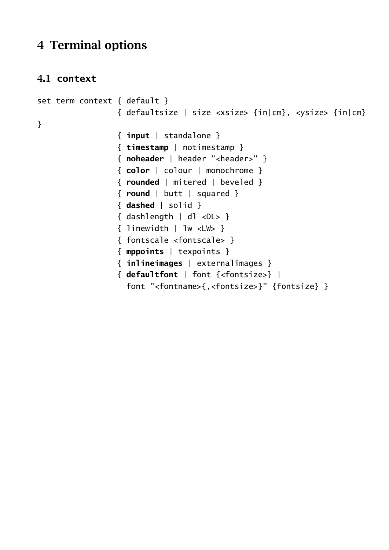### <span id="page-7-0"></span>4 Terminal options

### 4.1 **context**

```
set term context { default }
                 { defaultsize | size <xsize> {in|cm}, <ysize> {in|cm}
}
                 { input | standalone }
                 { timestamp | notimestamp }
                 { noheader | header "<header>" }
                 { color | colour | monochrome }
                 { rounded | mitered | beveled }
                 { round | butt | squared }
                 { dashed | solid }
                 { dashlength | dl <DL> }
                 { linewidth | lw <LW> }
                 { fontscale <fontscale> }
                 { mppoints | texpoints }
                 { inlineimages | externalimages }
                 { defaultfont | font {<fontsize>} |
                   font "<fontname>{,<fontsize>}" {fontsize} }
```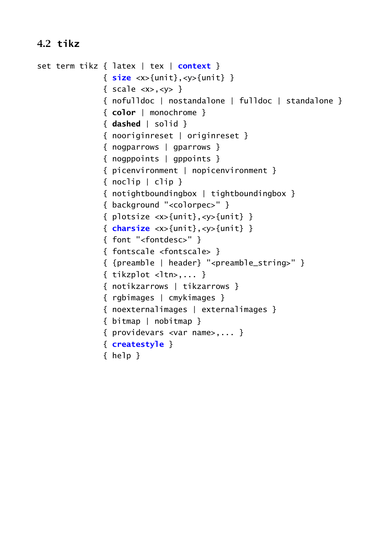### 4.2 **tikz**

```
set term tikz { latex | tex | context }
               { size <x>{unit},<y>{unit} }
               { scale <x>, <y> }
               { nofulldoc | nostandalone | fulldoc | standalone }
               { color | monochrome }
               { dashed | solid }
               { nooriginreset | originreset }
               { nogparrows | gparrows }
               { nogppoints | gppoints }
               { picenvironment | nopicenvironment }
               \{ \text{noclip} \mid \text{clip} \}{ notightboundingbox | tightboundingbox }
               { background "<colorpec>" }
               { plotsize \langle x \rangle{unit},\langle y \rangle{unit} }
               { charsize <x>{unit},<y>{unit} }
               { font "<fontdesc>" }
               { fontscale <fontscale> }
               { {preamble | header} "<preamble_string>" }
               \{ tikzplot <ltn>,... }
               { notikzarrows | tikzarrows }
               { rgbimages | cmykimages }
               { noexternalimages | externalimages }
               { bitmap | nobitmap }
               { providevars <var name>,... }
               { createstyle }
               { help }
```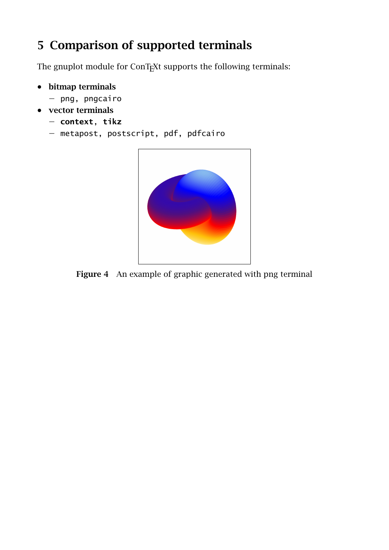## <span id="page-9-0"></span>5 Comparison of supported terminals

The gnuplot module for ConTEXt supports the following terminals:

- bitmap terminals
	- − png, pngcairo
- vector terminals
	- − **context**, **tikz**
	- − metapost, postscript, pdf, pdfcairo



Figure 4 An example of graphic generated with png terminal